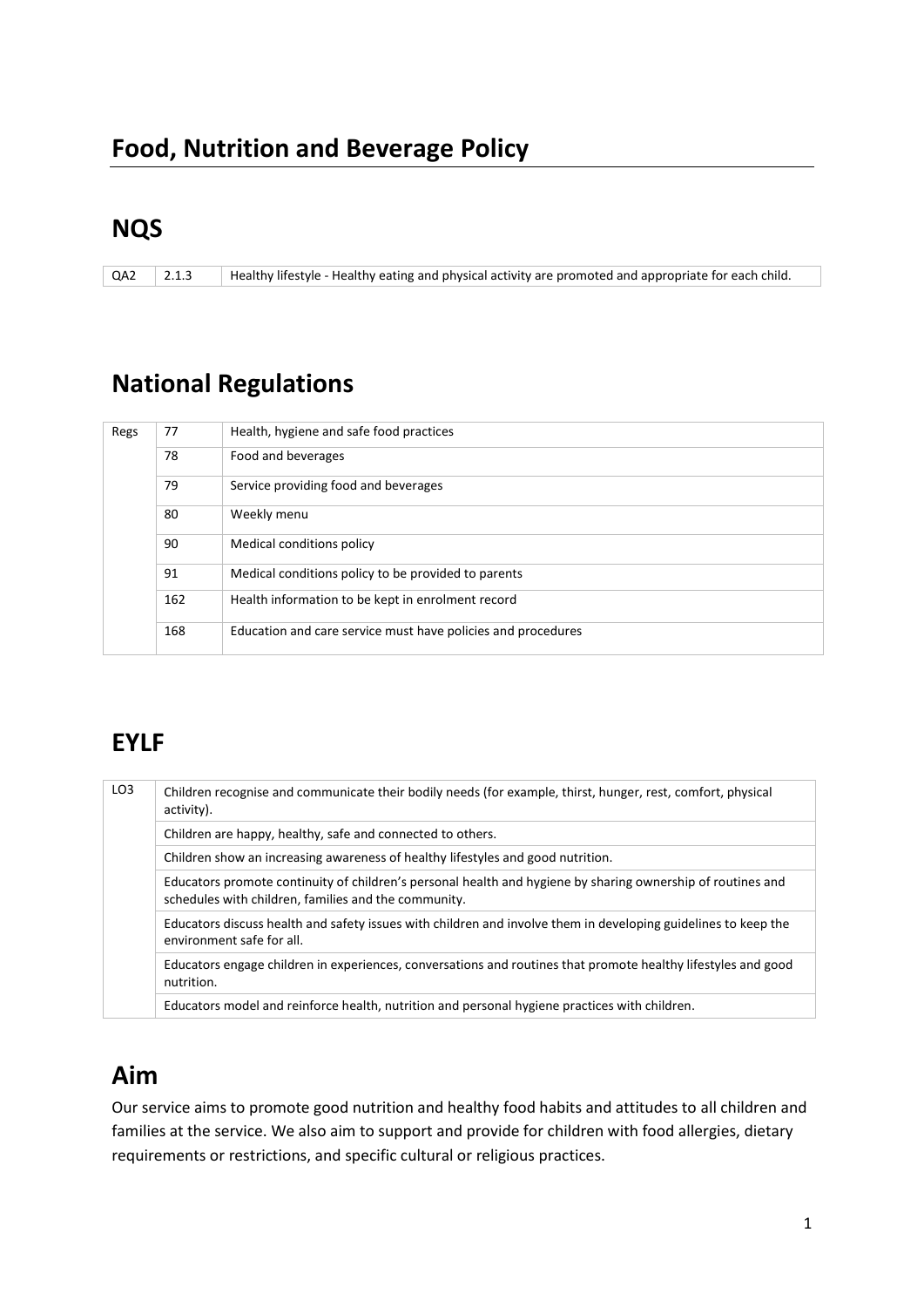### **NQS**

QA2 2.1.3 Healthy lifestyle - Healthy eating and physical activity are promoted and appropriate for each child.

# **National Regulations**

| Regs | 77  | Health, hygiene and safe food practices                      |
|------|-----|--------------------------------------------------------------|
|      | 78  | Food and beverages                                           |
|      | 79  | Service providing food and beverages                         |
|      | 80  | Weekly menu                                                  |
|      | 90  | Medical conditions policy                                    |
|      | 91  | Medical conditions policy to be provided to parents          |
|      | 162 | Health information to be kept in enrolment record            |
|      | 168 | Education and care service must have policies and procedures |

# **EYLF**

| LO <sub>3</sub> | Children recognise and communicate their bodily needs (for example, thirst, hunger, rest, comfort, physical<br>activity).                                           |
|-----------------|---------------------------------------------------------------------------------------------------------------------------------------------------------------------|
|                 | Children are happy, healthy, safe and connected to others.                                                                                                          |
|                 | Children show an increasing awareness of healthy lifestyles and good nutrition.                                                                                     |
|                 | Educators promote continuity of children's personal health and hygiene by sharing ownership of routines and<br>schedules with children, families and the community. |
|                 | Educators discuss health and safety issues with children and involve them in developing guidelines to keep the<br>environment safe for all.                         |
|                 | Educators engage children in experiences, conversations and routines that promote healthy lifestyles and good<br>nutrition.                                         |
|                 | Educators model and reinforce health, nutrition and personal hygiene practices with children.                                                                       |

### **Aim**

Our service aims to promote good nutrition and healthy food habits and attitudes to all children and families at the service. We also aim to support and provide for children with food allergies, dietary requirements or restrictions, and specific cultural or religious practices.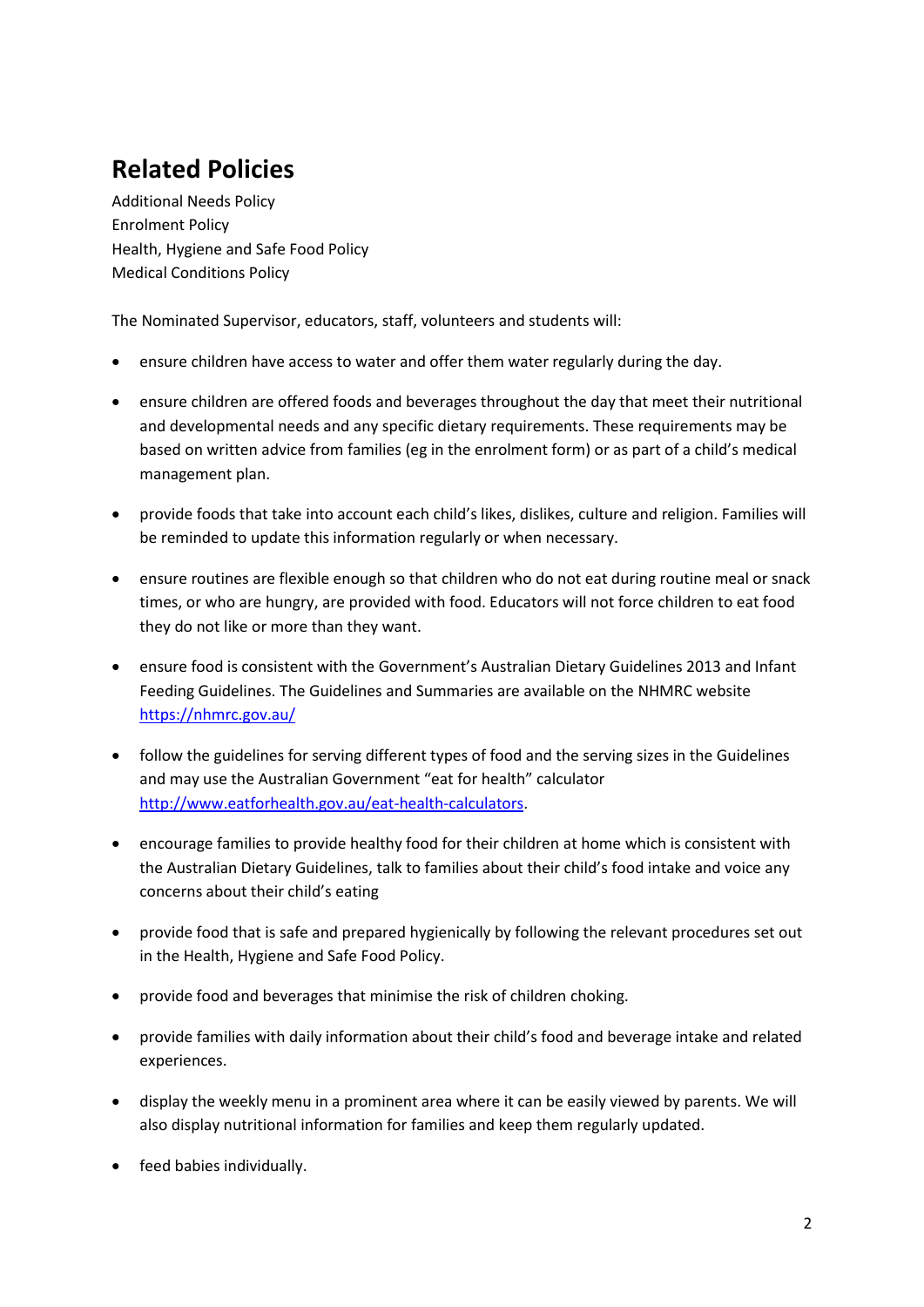# **Related Policies**

Additional Needs Policy Enrolment Policy Health, Hygiene and Safe Food Policy Medical Conditions Policy

The Nominated Supervisor, educators, staff, volunteers and students will:

- ensure children have access to water and offer them water regularly during the day.
- ensure children are offered foods and beverages throughout the day that meet their nutritional and developmental needs and any specific dietary requirements. These requirements may be based on written advice from families (eg in the enrolment form) or as part of a child's medical management plan.
- provide foods that take into account each child's likes, dislikes, culture and religion. Families will be reminded to update this information regularly or when necessary.
- ensure routines are flexible enough so that children who do not eat during routine meal or snack times, or who are hungry, are provided with food. Educators will not force children to eat food they do not like or more than they want.
- ensure food is consistent with the Government's Australian Dietary Guidelines 2013 and Infant Feeding Guidelines. The Guidelines and Summaries are available on the NHMRC website <https://nhmrc.gov.au/>
- follow the guidelines for serving different types of food and the serving sizes in the Guidelines and may use the Australian Government "eat for health" calculator [http://www.eatforhealth.gov.au/eat-health-calculators.](http://www.eatforhealth.gov.au/eat-health-calculators)
- encourage families to provide healthy food for their children at home which is consistent with the Australian Dietary Guidelines, talk to families about their child's food intake and voice any concerns about their child's eating
- provide food that is safe and prepared hygienically by following the relevant procedures set out in the Health, Hygiene and Safe Food Policy.
- provide food and beverages that minimise the risk of children choking.
- provide families with daily information about their child's food and beverage intake and related experiences.
- display the weekly menu in a prominent area where it can be easily viewed by parents. We will also display nutritional information for families and keep them regularly updated.
- feed babies individually.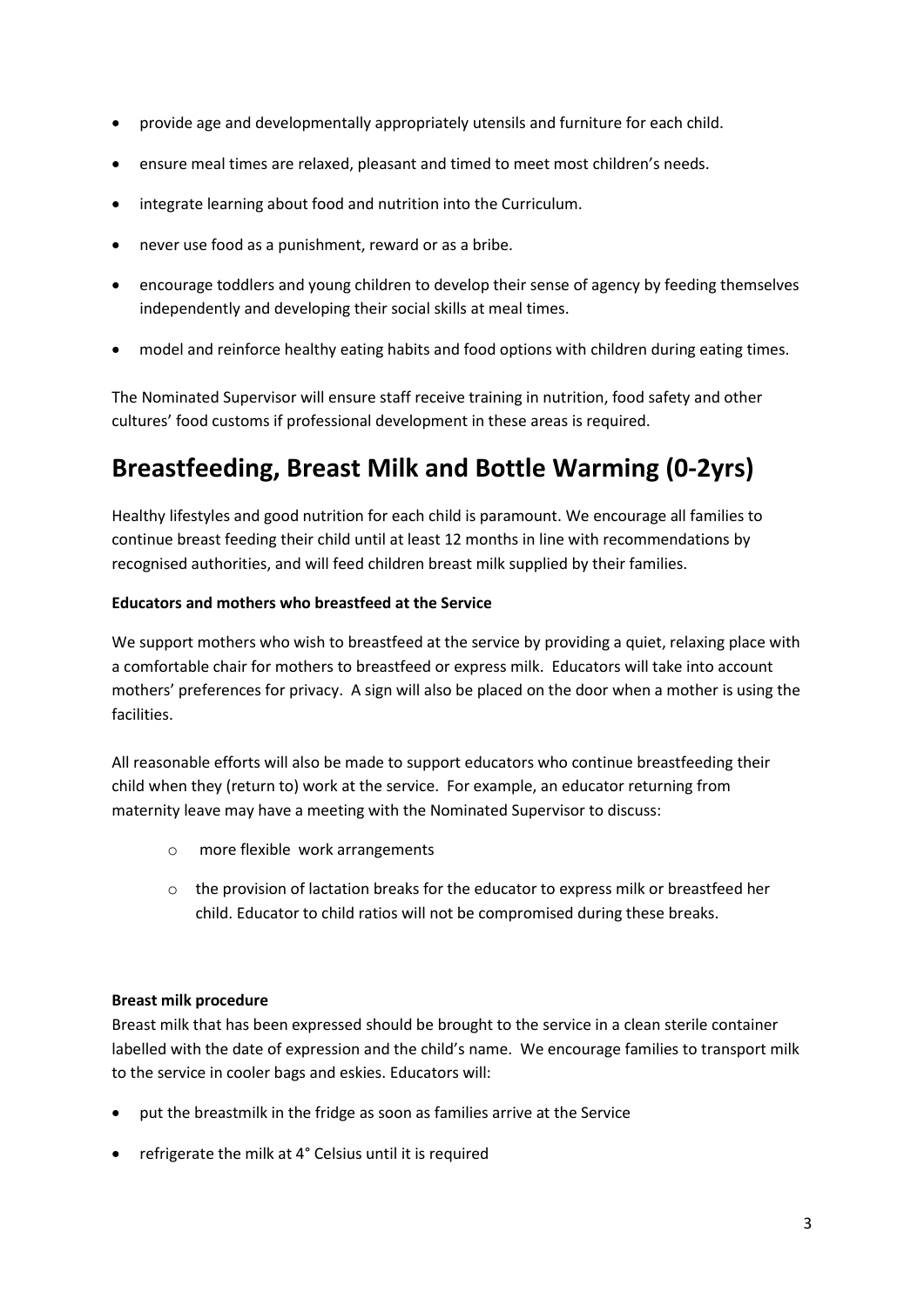- provide age and developmentally appropriately utensils and furniture for each child.
- ensure meal times are relaxed, pleasant and timed to meet most children's needs.
- integrate learning about food and nutrition into the Curriculum.
- never use food as a punishment, reward or as a bribe.
- encourage toddlers and young children to develop their sense of agency by feeding themselves independently and developing their social skills at meal times.
- model and reinforce healthy eating habits and food options with children during eating times.

The Nominated Supervisor will ensure staff receive training in nutrition, food safety and other cultures' food customs if professional development in these areas is required.

## **Breastfeeding, Breast Milk and Bottle Warming (0-2yrs)**

Healthy lifestyles and good nutrition for each child is paramount. We encourage all families to continue breast feeding their child until at least 12 months in line with recommendations by recognised authorities, and will feed children breast milk supplied by their families.

#### **Educators and mothers who breastfeed at the Service**

We support mothers who wish to breastfeed at the service by providing a quiet, relaxing place with a comfortable chair for mothers to breastfeed or express milk. Educators will take into account mothers' preferences for privacy. A sign will also be placed on the door when a mother is using the facilities.

All reasonable efforts will also be made to support educators who continue breastfeeding their child when they (return to) work at the service. For example, an educator returning from maternity leave may have a meeting with the Nominated Supervisor to discuss:

- o more flexible work arrangements
- o the provision of lactation breaks for the educator to express milk or breastfeed her child. Educator to child ratios will not be compromised during these breaks.

#### **Breast milk procedure**

Breast milk that has been expressed should be brought to the service in a clean sterile container labelled with the date of expression and the child's name. We encourage families to transport milk to the service in cooler bags and eskies. Educators will:

- put the breastmilk in the fridge as soon as families arrive at the Service
- refrigerate the milk at 4° Celsius until it is required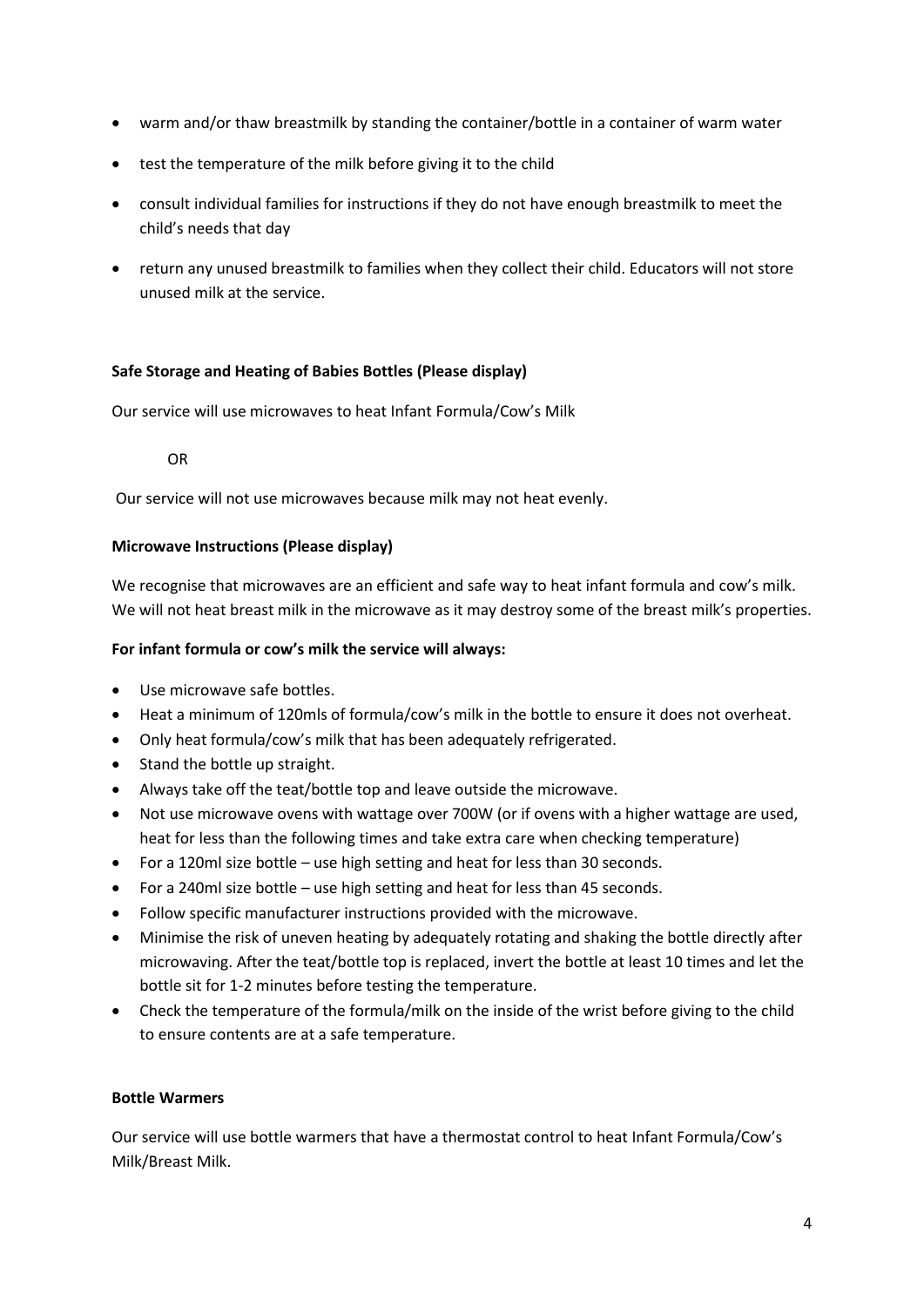- warm and/or thaw breastmilk by standing the container/bottle in a container of warm water
- test the temperature of the milk before giving it to the child
- consult individual families for instructions if they do not have enough breastmilk to meet the child's needs that day
- return any unused breastmilk to families when they collect their child. Educators will not store unused milk at the service.

#### **Safe Storage and Heating of Babies Bottles (Please display)**

Our service will use microwaves to heat Infant Formula/Cow's Milk

OR

Our service will not use microwaves because milk may not heat evenly.

#### **Microwave Instructions (Please display)**

We recognise that microwaves are an efficient and safe way to heat infant formula and cow's milk. We will not heat breast milk in the microwave as it may destroy some of the breast milk's properties.

#### **For infant formula or cow's milk the service will always:**

- Use microwave safe bottles.
- Heat a minimum of 120mls of formula/cow's milk in the bottle to ensure it does not overheat.
- Only heat formula/cow's milk that has been adequately refrigerated.
- Stand the bottle up straight.
- Always take off the teat/bottle top and leave outside the microwave.
- Not use microwave ovens with wattage over 700W (or if ovens with a higher wattage are used, heat for less than the following times and take extra care when checking temperature)
- For a 120ml size bottle use high setting and heat for less than 30 seconds.
- For a 240ml size bottle use high setting and heat for less than 45 seconds.
- Follow specific manufacturer instructions provided with the microwave.
- Minimise the risk of uneven heating by adequately rotating and shaking the bottle directly after microwaving. After the teat/bottle top is replaced, invert the bottle at least 10 times and let the bottle sit for 1-2 minutes before testing the temperature.
- Check the temperature of the formula/milk on the inside of the wrist before giving to the child to ensure contents are at a safe temperature.

#### **Bottle Warmers**

Our service will use bottle warmers that have a thermostat control to heat Infant Formula/Cow's Milk/Breast Milk.